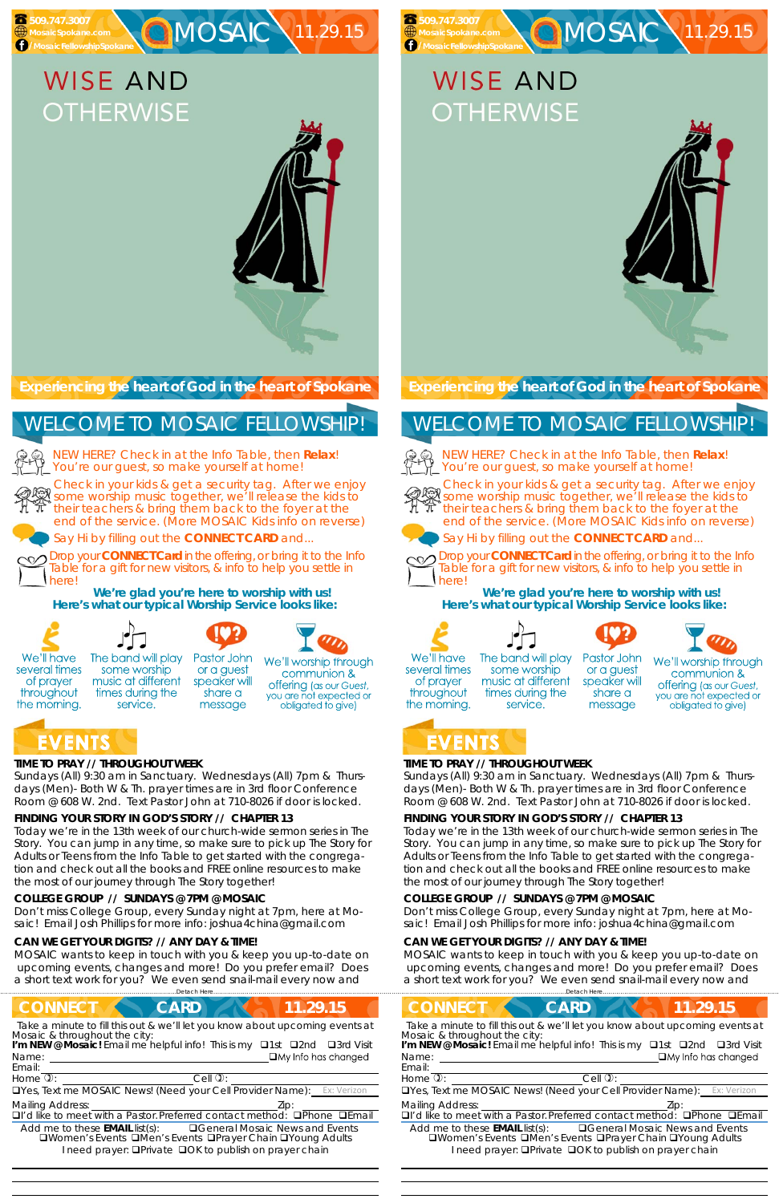## **TIME TO PRAY // THROUGHOUT WEEK**

*Sundays* (All) 9:30 am in Sanctuary. *Wednesdays* (All) 7pm & *Thursdays* (Men)- Both W & Th. prayer times are in 3rd floor Conference Room @ 608 W. 2nd. Text Pastor John at 710-8026 if door is locked.

# **FINDING YOUR STORY IN GOD'S STORY // CHAPTER 13**

some worship

music at different

times during the

service.

Today we're in the 13th week of our church-wide sermon series in The Story. You can jump in any time, so make sure to pick up The Story for Adults or Teens from the Info Table to get started with the congregation and check out all the books and FREE online resources to make the most of our journey through The Story together!

# **WISE AND OTHERWISE**

#### **COLLEGE GROUP // SUNDAYS @ 7PM @ MOSAIC**

Don't miss College Group, every Sunday night at 7pm, here at Mosaic! Email Josh Phillips for more info: joshua4china@gmail.com

#### **CAN WE GET YOUR DIGITS? // ANY DAY & TIME!**

MOSAIC wants to keep in touch with you & keep you up-to-date on upcoming events, changes and more! Do you prefer email? Does a short text work for you? We even send snail-mail every now and

#### **Q**MOSAIC 11.29.15  **509.747.3007 MosaicSpokane.com /MosaicFellowshipSpokane**

# **WISE AND OTHERWISE**



**Experiencing the heart of God in the heart of Spokane** 

NEW HERE? Check in at the Info Table, then **Relax**! You're our guest, so make yourself at home!

Check in your kids & get a security tag. After we enjoy some worship music together, we'll release the kids to their teachers & bring them back to the foyer at the end of the service. (More MOSAIC Kids info on reverse)

Say Hi by filling out the **CONNECT CARD** and...

Drop your **CONNECT Card** in the offering, or bring it to the Info Table for a gift for new visitors, & info to help you settle in here!

**We're glad you're here to worship with us! Here's what our typical Worship Service looks like:** 



several times

of prayer

throughout

the morning.

# WELCOME TO MOSAIC FELLOWSHIP!

 **509.747.3007 MosaicSpokane.com f** /MosaicFellowshipSpoka



**Q**MOSAIC 11.29.15

 





or a guest

speaker will

share a

message





We'll worship through communion & offering (as our Guest, you are not expected or obligated to give)

# **EVENTS**

# **TIME TO PRAY // THROUGHOUT WEEK**

*Sundays* (All) 9:30 am in Sanctuary. *Wednesdays* (All) 7pm & *Thursdays* (Men)- Both W & Th. prayer times are in 3rd floor Conference Room @ 608 W. 2nd. Text Pastor John at 710-8026 if door is locked.

## **FINDING YOUR STORY IN GOD'S STORY // CHAPTER 13**

Today we're in the 13th week of our church-wide sermon series in The Story. You can jump in any time, so make sure to pick up The Story for Adults or Teens from the Info Table to get started with the congregation and check out all the books and FREE online resources to make the most of our journey through The Story together!

| <b>CONNECT</b>                                                                                                                                                                                                                                                                                                                                                                                       | <b>CONNECT</b>                                                                                                                                                                                                                                                                                                                                                             |  |  |
|------------------------------------------------------------------------------------------------------------------------------------------------------------------------------------------------------------------------------------------------------------------------------------------------------------------------------------------------------------------------------------------------------|----------------------------------------------------------------------------------------------------------------------------------------------------------------------------------------------------------------------------------------------------------------------------------------------------------------------------------------------------------------------------|--|--|
| 11.29.15                                                                                                                                                                                                                                                                                                                                                                                             | 11.29.15                                                                                                                                                                                                                                                                                                                                                                   |  |  |
| CARD                                                                                                                                                                                                                                                                                                                                                                                                 | CARD                                                                                                                                                                                                                                                                                                                                                                       |  |  |
| Take a minute to fill this out & we'll let you know about upcoming events at<br>Mosaic & throughout the city:<br>I'm NEW @ Mosaic! Email me helpful info! This is my latst<br>□3rd Visit<br>$\square$ 2nd<br>$\Box$ My Info has changed<br>Name:<br>Email:<br>$Cell$ $\mathcal{D}$ :<br>Home $\mathcal{D}$<br><b>Only estable in the MOSAIC News! (Need your Cell Provider Name):</b><br>Ex: Verizon | Take a minute to fill this out & we'll let you know about upcoming events at<br>Mosaic & throughout the city:<br>I'm NEW @ Mosaic! Email me helpful info! This is my <b>Q1st Q2nd</b><br>□3rd Visit<br>$\Box$ My Info has changed<br>Name:<br>Email:<br>$Cell$ $\mathcal{D}$ :<br>Home $\mathbf{D}$ :<br><b>Only Sect and MOSAIC News! (Need your Cell Provider Name):</b> |  |  |
| <b>Mailing Address:</b>                                                                                                                                                                                                                                                                                                                                                                              | <b>Mailing Address:</b>                                                                                                                                                                                                                                                                                                                                                    |  |  |
| I'd like to meet with a Pastor. Preferred contact method:                                                                                                                                                                                                                                                                                                                                            | Ol'd like to meet with a Pastor. Preferred contact method:                                                                                                                                                                                                                                                                                                                 |  |  |
| $\Box$ Phone                                                                                                                                                                                                                                                                                                                                                                                         | $D$ Phone                                                                                                                                                                                                                                                                                                                                                                  |  |  |
| $\square$ Email                                                                                                                                                                                                                                                                                                                                                                                      | □Fmail                                                                                                                                                                                                                                                                                                                                                                     |  |  |
| □ General Mosaic News and Events                                                                                                                                                                                                                                                                                                                                                                     | <b>QGeneral Mosaic News and Events</b>                                                                                                                                                                                                                                                                                                                                     |  |  |
| Add me to these <b>EMAIL</b> list(s):                                                                                                                                                                                                                                                                                                                                                                | Add me to these $EMAIL$ list(s):                                                                                                                                                                                                                                                                                                                                           |  |  |
| □Women's Events □Men's Events □Prayer Chain □Young Adults                                                                                                                                                                                                                                                                                                                                            | <b>QWomen's Events QMen's Events QPrayer Chain QYoung Adults</b>                                                                                                                                                                                                                                                                                                           |  |  |
| I need prayer: <b>QPrivate QOK to publish on prayer chain</b>                                                                                                                                                                                                                                                                                                                                        | I need prayer: <b>QPrivate QOK to publish on prayer chain</b>                                                                                                                                                                                                                                                                                                              |  |  |

### **COLLEGE GROUP // SUNDAYS @ 7PM @ MOSAIC**

Don't miss College Group, every Sunday night at 7pm, here at Mosaic! Email Josh Phillips for more info: joshua4china@gmail.com

#### **CAN WE GET YOUR DIGITS? // ANY DAY & TIME!**

MOSAIC wants to keep in touch with you & keep you up-to-date on upcoming events, changes and more! Do you prefer email? Does a short text work for you? We even send snail-mail every now and

# **Experiencing the heart of God in the heart of Spokane**

NEW HERE? Check in at the Info Table, then **Relax**! You're our guest, so make yourself at home!



Check in your kids & get a security tag. After we enjoy some worship music together, we'll release the kids to their teachers is bring that if their teachers  $\pi$  their teachers is bring that if  $\pi$ their teachers & bring them back to the foyer at the end of the service. (More MOSAIC Kids info on reverse)



Say Hi by filling out the **CONNECT CARD** and...



Drop your **CONNECT Card** in the offering, or bring it to the Info Table for a gift for new visitors, & info to help you settle in here!

**We're glad you're here to worship with us! Here's what our typical Worship Service looks like:** 



several times

of prayer

throughout



some worship

music at different

times during the

service.



or a guest

speaker will

share a

message





We'll worship through communion & **offering** (as our Guest, you are not expected or obligated to give)



# WELCOME TO MOSAIC FELLOWSHIP!